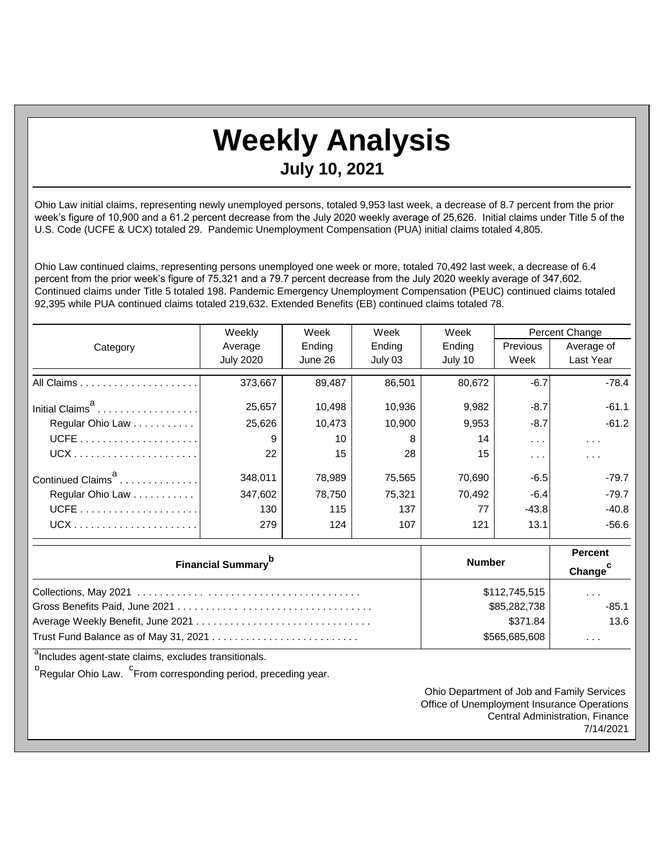## **Weekly Analysis**

## **July 10, 2021**

Ohio Law initial claims, representing newly unemployed persons, totaled 9,953 last week, a decrease of 8.7 percent from the prior week's figure of 10,900 and a 61.2 percent decrease from the July 2020 weekly average of 25,626. Initial claims under Title 5 of the U.S. Code (UCFE & UCX) totaled 29. Pandemic Unemployment Compensation (PUA) initial claims totaled 4,805.

Ohio Law continued claims, representing persons unemployed one week or more, totaled 70,492 last week, a decrease of 6.4 percent from the prior week's figure of 75,321 and a 79.7 percent decrease from the July 2020 weekly average of 347,602. Continued claims under Title 5 totaled 198. Pandemic Emergency Unemployment Compensation (PEUC) continued claims totaled 92,395 while PUA continued claims totaled 219,632. Extended Benefits (EB) continued claims totaled 78.

|                               | Weekly           | Week<br>Week |         | Week    | Percent Change       |                      |
|-------------------------------|------------------|--------------|---------|---------|----------------------|----------------------|
| Category                      | Average          | Ending       | Ending  | Ending  | <b>Previous</b>      | Average of           |
|                               | <b>July 2020</b> | June 26      | July 03 | July 10 | Week                 | Last Year            |
|                               | 373,667          | 89.487       | 86,501  | 80,672  | $-6.7$               | $-78.4$              |
| Initial Claims <sup>a</sup>   | 25,657           | 10,498       | 10,936  | 9,982   | $-8.7$               | $-61.1$              |
| Regular Ohio Law              | 25,626           | 10,473       | 10,900  | 9,953   | $-8.7$               | $-61.2$              |
|                               | 9                | 10           | 8       | 14      | $\sim$ $\sim$ $\sim$ | $\sim$ $\sim$ $\sim$ |
|                               | 22               | 15           | 28      | 15      | $\sim$ $\sim$ $\sim$ | $\cdots$             |
| Continued Claims <sup>a</sup> | 348,011          | 78,989       | 75,565  | 70,690  | $-6.5$               | $-79.7$              |
| Regular Ohio Law              | 347.602          | 78.750       | 75.321  | 70.492  | $-6.4$               | $-79.7$              |
|                               | 130              | 115          | 137     | 77      | $-43.8$              | $-40.8$              |
|                               | 279              | 124          | 107     | 121     | 13.1                 | $-56.6$              |

| <b>Financial Summary</b> <sup>p</sup> | <b>Number</b> | <b>Percent</b><br>Change <sup>c</sup> |
|---------------------------------------|---------------|---------------------------------------|
|                                       | \$112,745,515 | $\sim$ $\sim$ $\sim$                  |
|                                       | \$85,282,738  | $-85.1$                               |
|                                       | \$371.84      | 13.6                                  |
| Trust Fund Balance as of May 31, 2021 | \$565,685,608 | .                                     |

<sup>a</sup>Includes agent-state claims, excludes transitionals.

<sup>b</sup>Regular Ohio Law. <sup>C</sup>From corresponding period, preceding year.

Ohio Department of Job and Family Services Office of Unemployment Insurance Operations Central Administration, Finance 7/14/2021